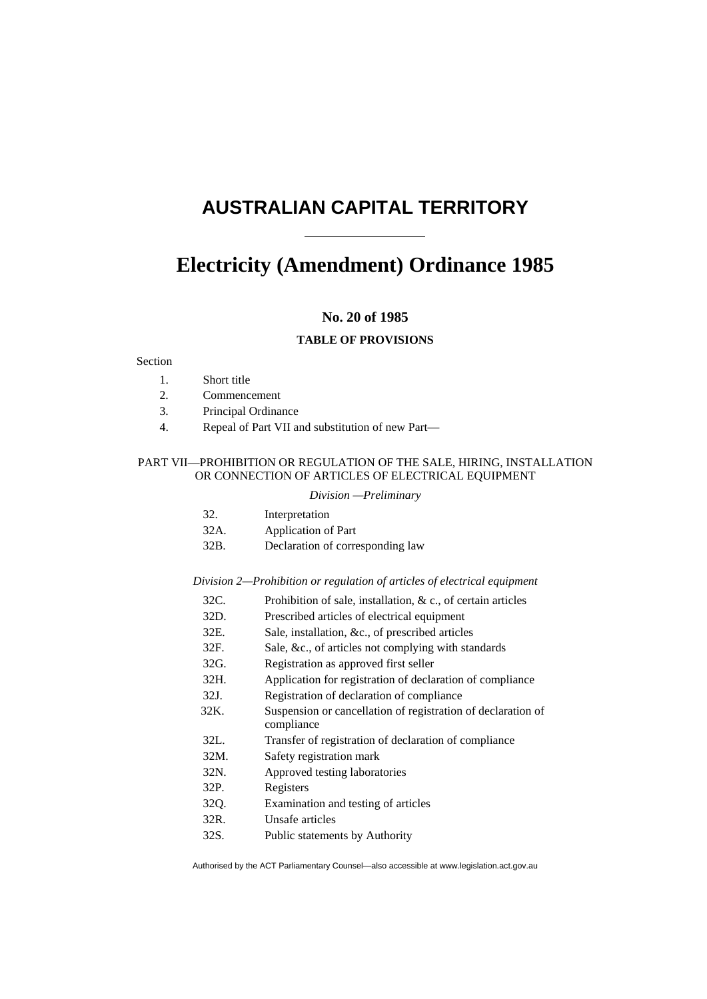# **AUSTRALIAN CAPITAL TERRITORY**

# **[Electricity \(Amendment\)](#page-2-0) Ordinance [1985](#page-2-0)**

# **No. [20](#page-2-0) of [1985](#page-2-0)**

## **TABLE OF PROVISIONS**

# Section

- 1. Short title
- 2. Commencement
- 3. Principal Ordinance
- 4. Repeal of Part VII and substitution of new Part—

## PART VII—PROHIBITION OR REGULATION OF THE SALE, HIRING, INSTALLATION OR CONNECTION OF ARTICLES OF ELECTRICAL EQUIPMENT

#### *Division —Preliminary*

| 32. | Interpretation |
|-----|----------------|
|-----|----------------|

| 32A. | Application of Part              |
|------|----------------------------------|
| 32B. | Declaration of corresponding law |

## *Division 2—Prohibition or regulation of articles of electrical equipment*

- 32C. Prohibition of sale, installation, & c., of certain articles
- 32D. Prescribed articles of electrical equipment
- 32E. Sale, installation, &c., of prescribed articles
- 32F. Sale, &c., of articles not complying with standards
- 32G. Registration as approved first seller
- 32H. Application for registration of declaration of compliance
- 32J. Registration of declaration of compliance
- 32K. Suspension or cancellation of registration of declaration of compliance
- 32L. Transfer of registration of declaration of compliance
- 32M. Safety registration mark
- 32N. Approved testing laboratories
- 32P. Registers
- 32Q. Examination and testing of articles
- 32R. Unsafe articles
- 32S. Public statements by Authority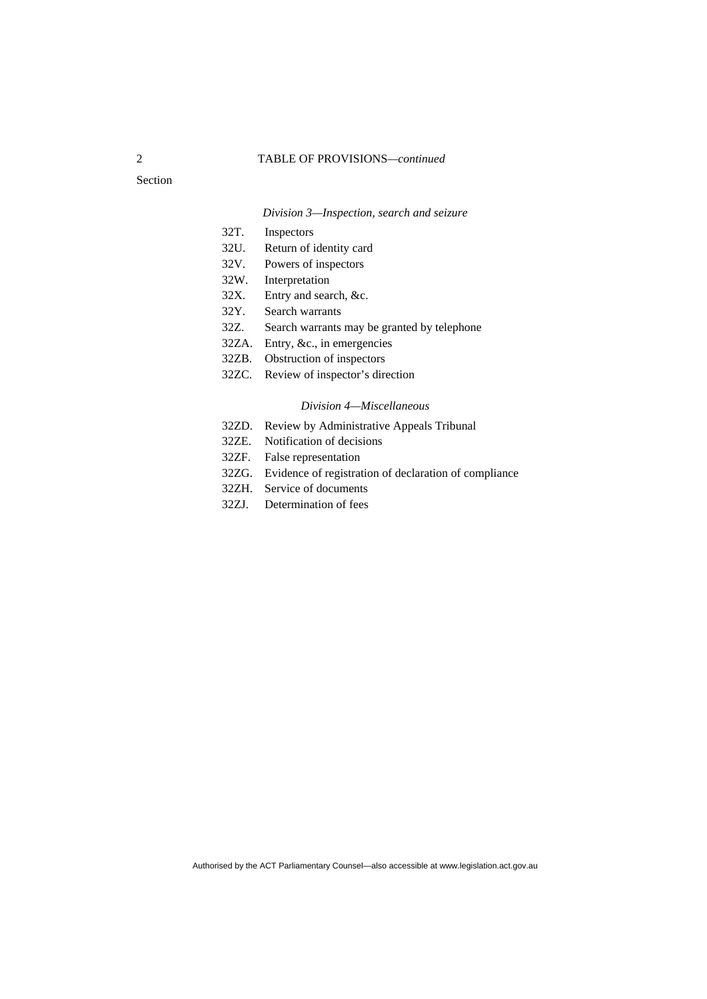## 2 TABLE OF PROVISIONS*—continued*

Section

## *Division 3—Inspection, search and seizure*

- 32T. Inspectors
- 32U. Return of identity card
- 32V. Powers of inspectors
- 32W. Interpretation
- 32X. Entry and search, &c.
- 32Y. Search warrants
- 32Z. Search warrants may be granted by telephone
- 32ZA. Entry, &c., in emergencies
- 32ZB. Obstruction of inspectors
- 32ZC. Review of inspector's direction

#### *Division 4—Miscellaneous*

- 32ZD. Review by Administrative Appeals Tribunal
- 32ZE. Notification of decisions
- 32ZF. False representation
- 32ZG. Evidence of registration of declaration of compliance
- 32ZH. Service of documents
- 32ZJ. Determination of fees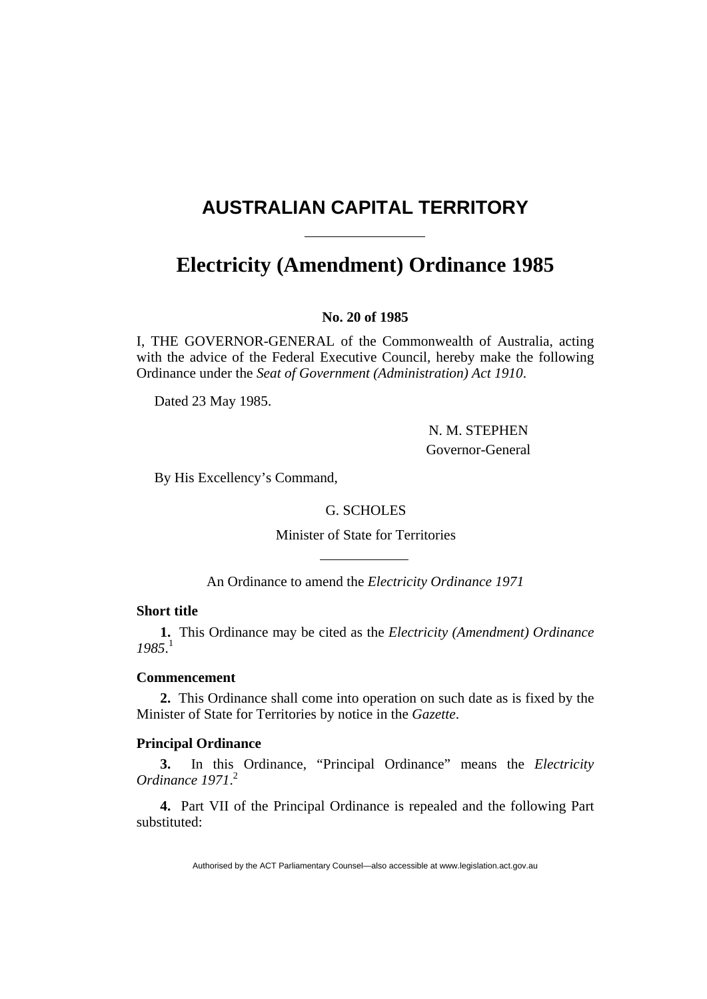# <span id="page-2-0"></span>**AUSTRALIAN CAPITAL TERRITORY**

# **Electricity (Amendment) Ordinance 1985**

# **No. 20 of 1985**

I, THE GOVERNOR-GENERAL of the Commonwealth of Australia, acting with the advice of the Federal Executive Council, hereby make the following Ordinance under the *Seat of Government (Administration) Act 1910*.

Dated 23 May 1985.

 N. M. STEPHEN Governor-General

By His Excellency's Command,

# G. SCHOLES

Minister of State for Territories

An Ordinance to amend the *Electricity Ordinance 1971*

# **Short title**

**1.** This Ordinance may be cited as the *Electricity (Amendment) Ordinance 1985*. 1

# **Commencement**

**2.** This Ordinance shall come into operation on such date as is fixed by the Minister of State for Territories by notice in the *Gazette*.

# **Principal Ordinance**

**3.** In this Ordinance, "Principal Ordinance" means the *Electricity Ordinance 1971*. 2

**4.** Part VII of the Principal Ordinance is repealed and the following Part substituted: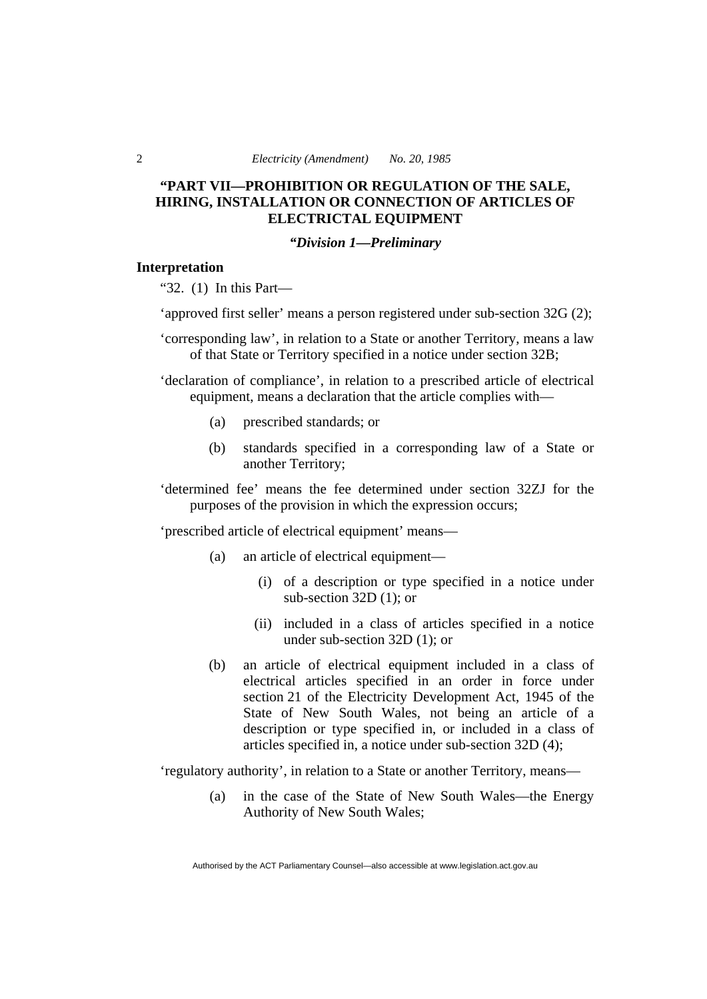# **"PART VII—PROHIBITION OR REGULATION OF THE SALE, HIRING, INSTALLATION OR CONNECTION OF ARTICLES OF ELECTRICTAL EQUIPMENT**

# *"Division 1—Preliminary*

## **Interpretation**

"32. (1) In this Part—

'approved first seller' means a person registered under sub-section 32G (2);

'corresponding law', in relation to a State or another Territory, means a law of that State or Territory specified in a notice under section 32B;

'declaration of compliance', in relation to a prescribed article of electrical equipment, means a declaration that the article complies with—

- (a) prescribed standards; or
- (b) standards specified in a corresponding law of a State or another Territory;

'determined fee' means the fee determined under section 32ZJ for the purposes of the provision in which the expression occurs;

'prescribed article of electrical equipment' means—

- (a) an article of electrical equipment—
	- (i) of a description or type specified in a notice under sub-section 32D (1); or
	- (ii) included in a class of articles specified in a notice under sub-section 32D (1); or
- (b) an article of electrical equipment included in a class of electrical articles specified in an order in force under section 21 of the Electricity Development Act, 1945 of the State of New South Wales, not being an article of a description or type specified in, or included in a class of articles specified in, a notice under sub-section 32D (4);

'regulatory authority', in relation to a State or another Territory, means—

 (a) in the case of the State of New South Wales—the Energy Authority of New South Wales;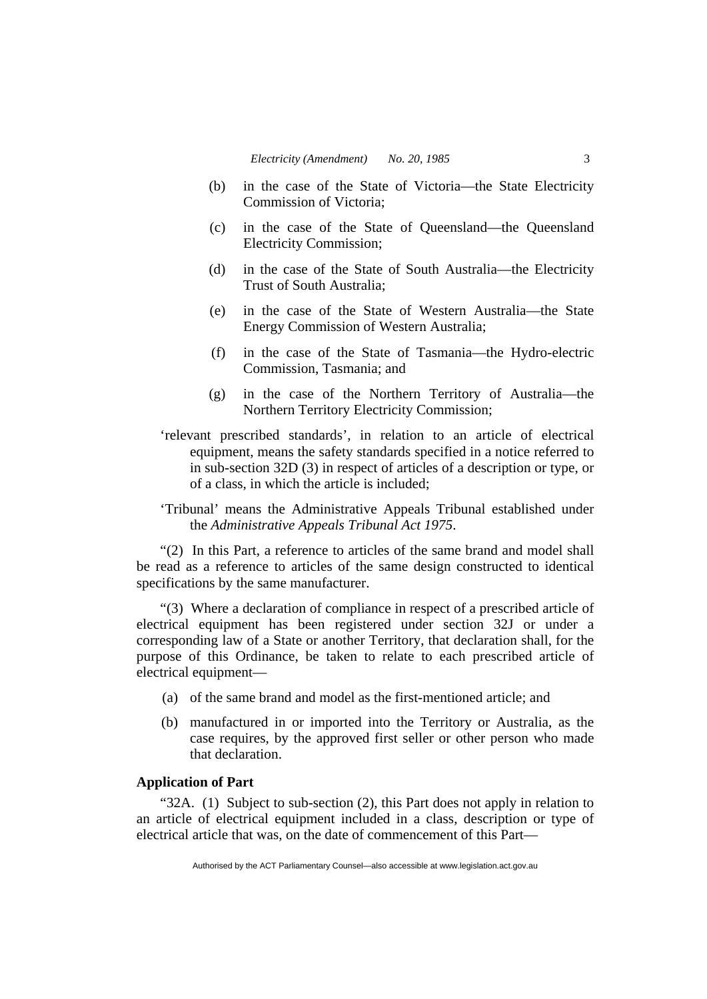- (b) in the case of the State of Victoria—the State Electricity Commission of Victoria;
- (c) in the case of the State of Queensland—the Queensland Electricity Commission;
- (d) in the case of the State of South Australia—the Electricity Trust of South Australia;
- (e) in the case of the State of Western Australia—the State Energy Commission of Western Australia;
- (f) in the case of the State of Tasmania—the Hydro-electric Commission, Tasmania; and
- (g) in the case of the Northern Territory of Australia—the Northern Territory Electricity Commission;
- 'relevant prescribed standards', in relation to an article of electrical equipment, means the safety standards specified in a notice referred to in sub-section 32D (3) in respect of articles of a description or type, or of a class, in which the article is included;
- 'Tribunal' means the Administrative Appeals Tribunal established under the *Administrative Appeals Tribunal Act 1975*.

"(2) In this Part, a reference to articles of the same brand and model shall be read as a reference to articles of the same design constructed to identical specifications by the same manufacturer.

"(3) Where a declaration of compliance in respect of a prescribed article of electrical equipment has been registered under section 32J or under a corresponding law of a State or another Territory, that declaration shall, for the purpose of this Ordinance, be taken to relate to each prescribed article of electrical equipment—

- (a) of the same brand and model as the first-mentioned article; and
- (b) manufactured in or imported into the Territory or Australia, as the case requires, by the approved first seller or other person who made that declaration.

## **Application of Part**

"32A. (1) Subject to sub-section (2), this Part does not apply in relation to an article of electrical equipment included in a class, description or type of electrical article that was, on the date of commencement of this Part—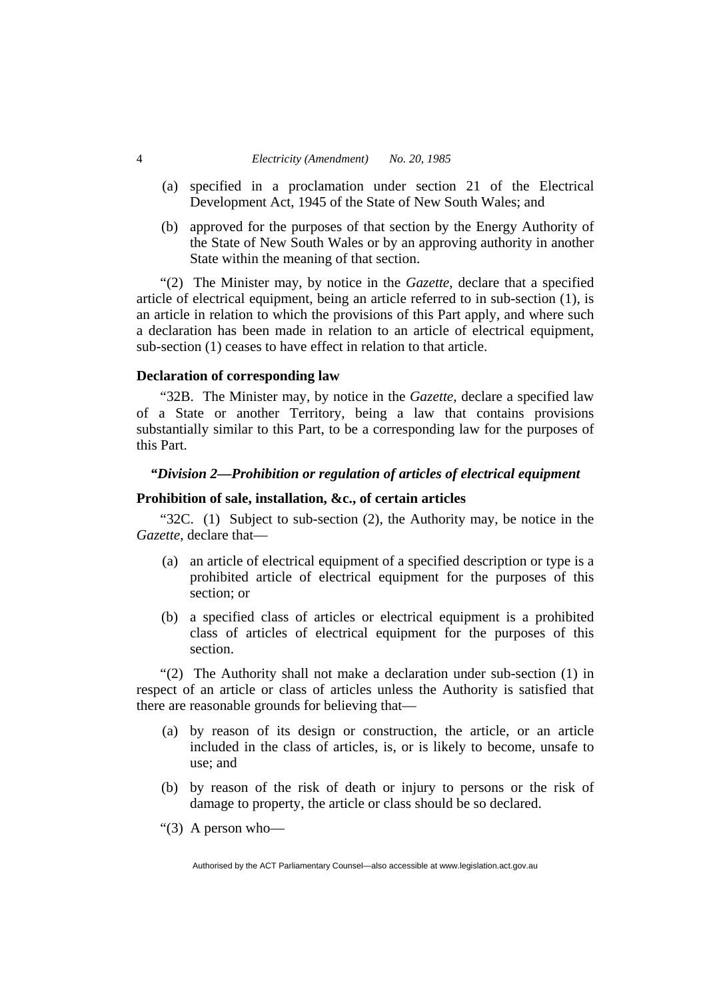- (a) specified in a proclamation under section 21 of the Electrical Development Act, 1945 of the State of New South Wales; and
- (b) approved for the purposes of that section by the Energy Authority of the State of New South Wales or by an approving authority in another State within the meaning of that section.

"(2) The Minister may, by notice in the *Gazette*, declare that a specified article of electrical equipment, being an article referred to in sub-section (1), is an article in relation to which the provisions of this Part apply, and where such a declaration has been made in relation to an article of electrical equipment, sub-section (1) ceases to have effect in relation to that article.

## **Declaration of corresponding law**

"32B. The Minister may, by notice in the *Gazette*, declare a specified law of a State or another Territory, being a law that contains provisions substantially similar to this Part, to be a corresponding law for the purposes of this Part.

# *"Division 2—Prohibition or regulation of articles of electrical equipment*

# **Prohibition of sale, installation, &c., of certain articles**

"32C. (1) Subject to sub-section (2), the Authority may, be notice in the *Gazette*, declare that—

- (a) an article of electrical equipment of a specified description or type is a prohibited article of electrical equipment for the purposes of this section; or
- (b) a specified class of articles or electrical equipment is a prohibited class of articles of electrical equipment for the purposes of this section.

"(2) The Authority shall not make a declaration under sub-section (1) in respect of an article or class of articles unless the Authority is satisfied that there are reasonable grounds for believing that—

- (a) by reason of its design or construction, the article, or an article included in the class of articles, is, or is likely to become, unsafe to use; and
- (b) by reason of the risk of death or injury to persons or the risk of damage to property, the article or class should be so declared.
- " $(3)$  A person who-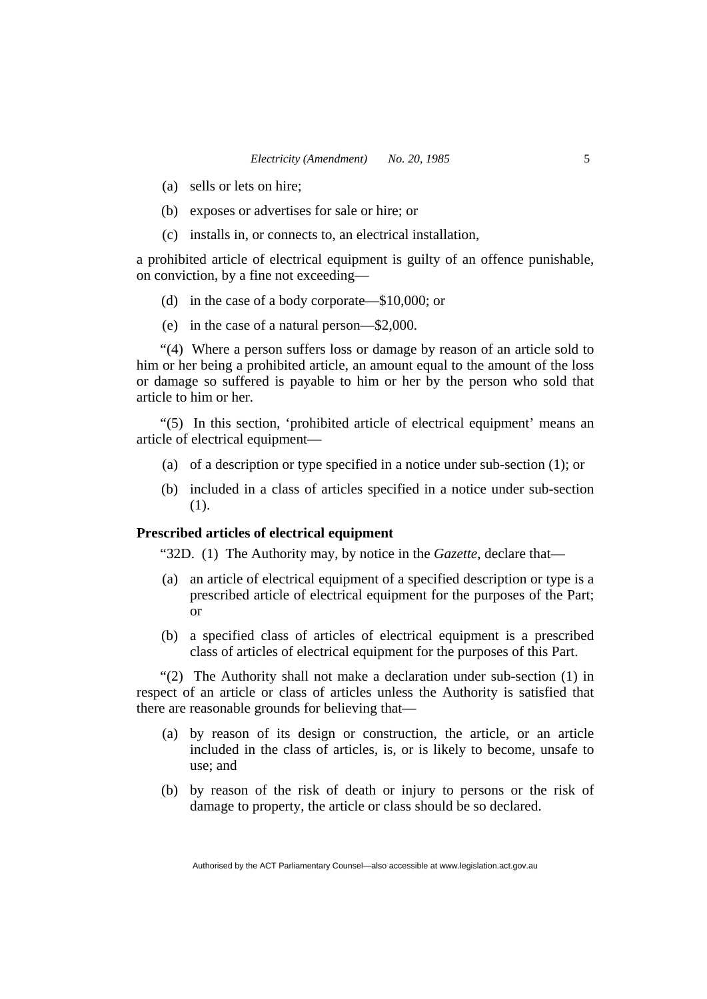- (a) sells or lets on hire;
- (b) exposes or advertises for sale or hire; or
- (c) installs in, or connects to, an electrical installation,

a prohibited article of electrical equipment is guilty of an offence punishable, on conviction, by a fine not exceeding—

- (d) in the case of a body corporate—\$10,000; or
- (e) in the case of a natural person—\$2,000.

"(4) Where a person suffers loss or damage by reason of an article sold to him or her being a prohibited article, an amount equal to the amount of the loss or damage so suffered is payable to him or her by the person who sold that article to him or her.

"(5) In this section, 'prohibited article of electrical equipment' means an article of electrical equipment—

- (a) of a description or type specified in a notice under sub-section (1); or
- (b) included in a class of articles specified in a notice under sub-section (1).

# **Prescribed articles of electrical equipment**

"32D. (1) The Authority may, by notice in the *Gazette*, declare that—

- (a) an article of electrical equipment of a specified description or type is a prescribed article of electrical equipment for the purposes of the Part; or
- (b) a specified class of articles of electrical equipment is a prescribed class of articles of electrical equipment for the purposes of this Part.

"(2) The Authority shall not make a declaration under sub-section (1) in respect of an article or class of articles unless the Authority is satisfied that there are reasonable grounds for believing that—

- (a) by reason of its design or construction, the article, or an article included in the class of articles, is, or is likely to become, unsafe to use; and
- (b) by reason of the risk of death or injury to persons or the risk of damage to property, the article or class should be so declared.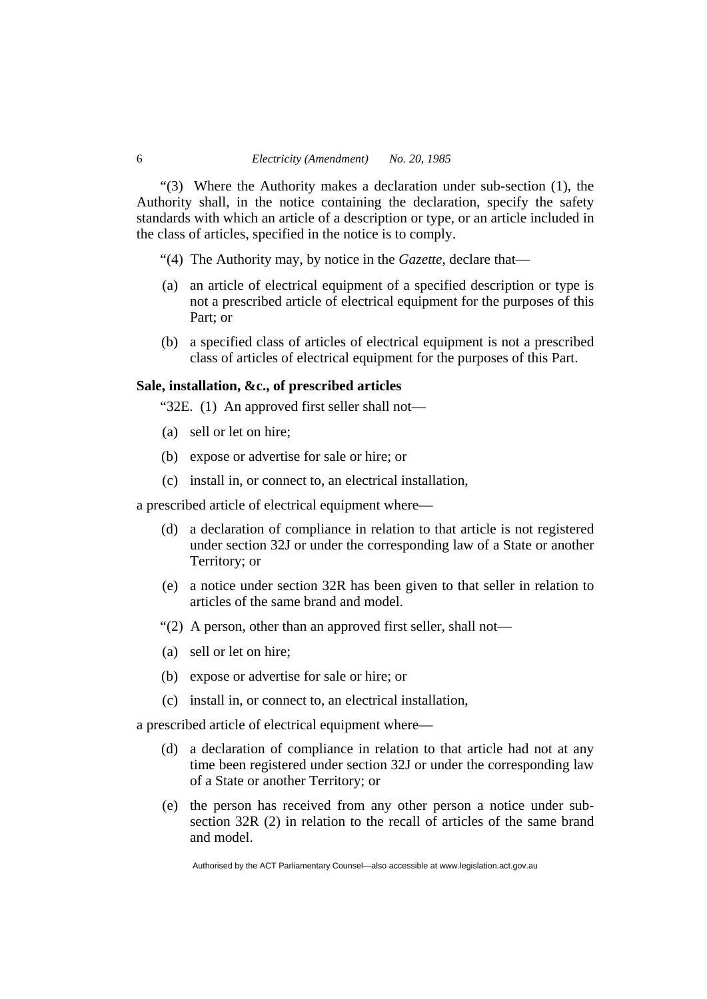"(3) Where the Authority makes a declaration under sub-section (1), the Authority shall, in the notice containing the declaration, specify the safety standards with which an article of a description or type, or an article included in the class of articles, specified in the notice is to comply.

- "(4) The Authority may, by notice in the *Gazette*, declare that—
- (a) an article of electrical equipment of a specified description or type is not a prescribed article of electrical equipment for the purposes of this Part; or
- (b) a specified class of articles of electrical equipment is not a prescribed class of articles of electrical equipment for the purposes of this Part.

## **Sale, installation, &c., of prescribed articles**

"32E. (1) An approved first seller shall not—

- (a) sell or let on hire;
- (b) expose or advertise for sale or hire; or
- (c) install in, or connect to, an electrical installation,

a prescribed article of electrical equipment where—

- (d) a declaration of compliance in relation to that article is not registered under section 32J or under the corresponding law of a State or another Territory; or
- (e) a notice under section 32R has been given to that seller in relation to articles of the same brand and model.
- "(2) A person, other than an approved first seller, shall not—
- (a) sell or let on hire;
- (b) expose or advertise for sale or hire; or
- (c) install in, or connect to, an electrical installation,

a prescribed article of electrical equipment where—

- (d) a declaration of compliance in relation to that article had not at any time been registered under section 32J or under the corresponding law of a State or another Territory; or
- (e) the person has received from any other person a notice under subsection 32R (2) in relation to the recall of articles of the same brand and model.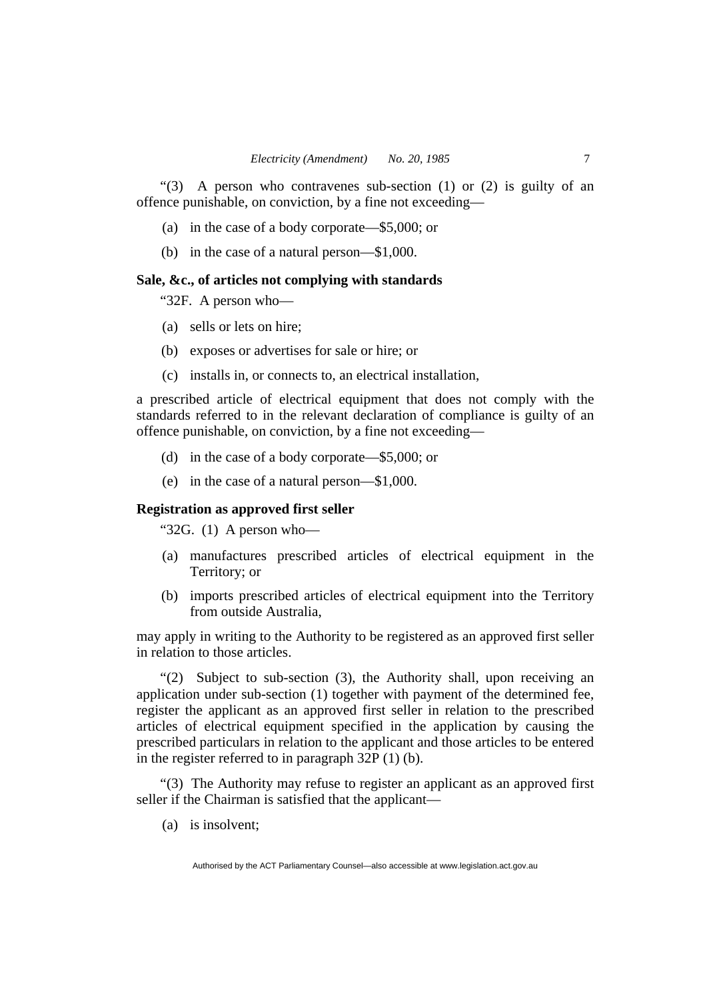"(3) A person who contravenes sub-section (1) or (2) is guilty of an offence punishable, on conviction, by a fine not exceeding—

- (a) in the case of a body corporate—\$5,000; or
- (b) in the case of a natural person—\$1,000.

# **Sale, &c., of articles not complying with standards**

"32F. A person who—

- (a) sells or lets on hire;
- (b) exposes or advertises for sale or hire; or
- (c) installs in, or connects to, an electrical installation,

a prescribed article of electrical equipment that does not comply with the standards referred to in the relevant declaration of compliance is guilty of an offence punishable, on conviction, by a fine not exceeding—

- (d) in the case of a body corporate—\$5,000; or
- (e) in the case of a natural person—\$1,000.

#### **Registration as approved first seller**

" $32G.$  (1) A person who-

- (a) manufactures prescribed articles of electrical equipment in the Territory; or
- (b) imports prescribed articles of electrical equipment into the Territory from outside Australia,

may apply in writing to the Authority to be registered as an approved first seller in relation to those articles.

"(2) Subject to sub-section (3), the Authority shall, upon receiving an application under sub-section (1) together with payment of the determined fee, register the applicant as an approved first seller in relation to the prescribed articles of electrical equipment specified in the application by causing the prescribed particulars in relation to the applicant and those articles to be entered in the register referred to in paragraph 32P (1) (b).

"(3) The Authority may refuse to register an applicant as an approved first seller if the Chairman is satisfied that the applicant—

(a) is insolvent;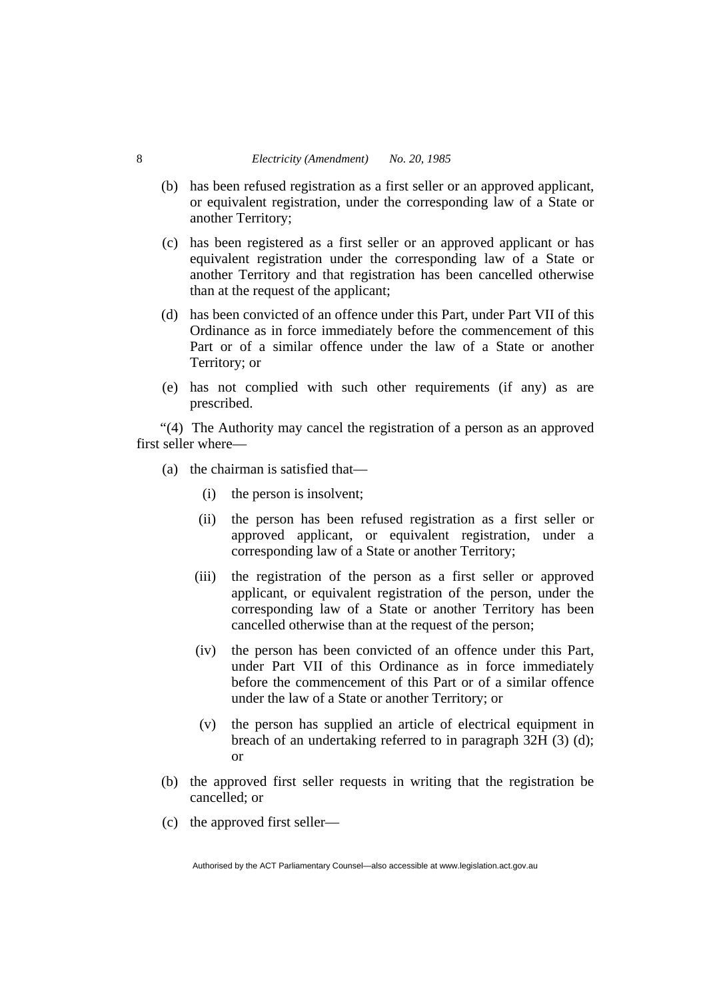- (b) has been refused registration as a first seller or an approved applicant, or equivalent registration, under the corresponding law of a State or another Territory;
- (c) has been registered as a first seller or an approved applicant or has equivalent registration under the corresponding law of a State or another Territory and that registration has been cancelled otherwise than at the request of the applicant;
- (d) has been convicted of an offence under this Part, under Part VII of this Ordinance as in force immediately before the commencement of this Part or of a similar offence under the law of a State or another Territory; or
- (e) has not complied with such other requirements (if any) as are prescribed.

"(4) The Authority may cancel the registration of a person as an approved first seller where—

- (a) the chairman is satisfied that—
	- (i) the person is insolvent;
	- (ii) the person has been refused registration as a first seller or approved applicant, or equivalent registration, under a corresponding law of a State or another Territory;
	- (iii) the registration of the person as a first seller or approved applicant, or equivalent registration of the person, under the corresponding law of a State or another Territory has been cancelled otherwise than at the request of the person;
	- (iv) the person has been convicted of an offence under this Part, under Part VII of this Ordinance as in force immediately before the commencement of this Part or of a similar offence under the law of a State or another Territory; or
	- (v) the person has supplied an article of electrical equipment in breach of an undertaking referred to in paragraph 32H (3) (d); or
- (b) the approved first seller requests in writing that the registration be cancelled; or
- (c) the approved first seller—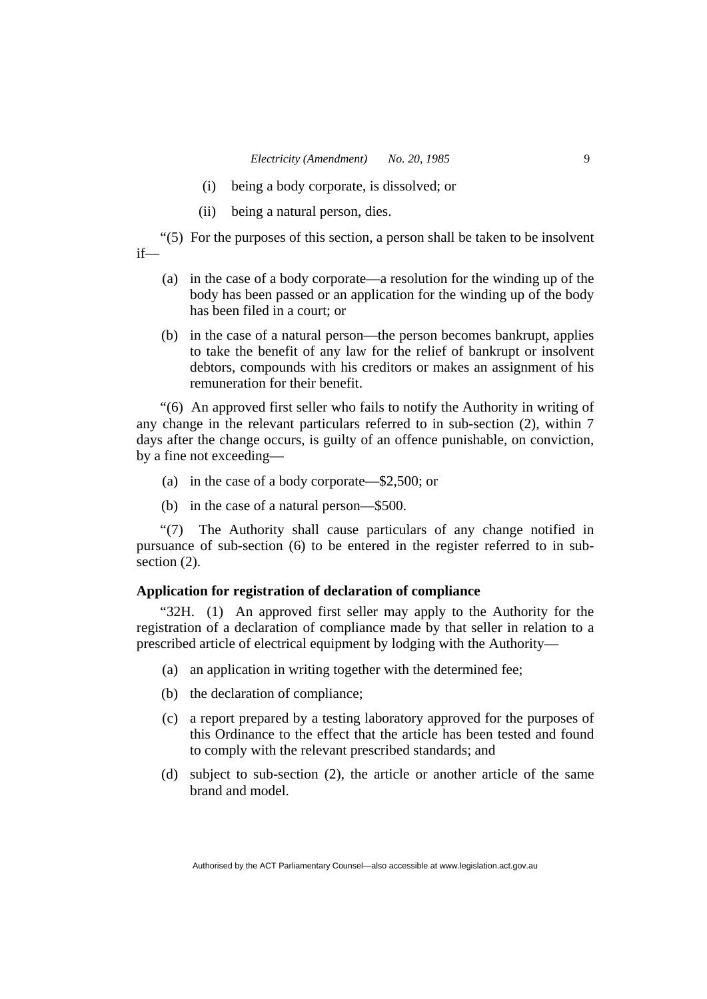- (i) being a body corporate, is dissolved; or
- (ii) being a natural person, dies.

"(5) For the purposes of this section, a person shall be taken to be insolvent if—

- (a) in the case of a body corporate—a resolution for the winding up of the body has been passed or an application for the winding up of the body has been filed in a court; or
	- (b) in the case of a natural person—the person becomes bankrupt, applies to take the benefit of any law for the relief of bankrupt or insolvent debtors, compounds with his creditors or makes an assignment of his remuneration for their benefit.

"(6) An approved first seller who fails to notify the Authority in writing of any change in the relevant particulars referred to in sub-section (2), within 7 days after the change occurs, is guilty of an offence punishable, on conviction, by a fine not exceeding—

- (a) in the case of a body corporate—\$2,500; or
- (b) in the case of a natural person—\$500.

"(7) The Authority shall cause particulars of any change notified in pursuance of sub-section (6) to be entered in the register referred to in subsection  $(2)$ .

# **Application for registration of declaration of compliance**

"32H. (1) An approved first seller may apply to the Authority for the registration of a declaration of compliance made by that seller in relation to a prescribed article of electrical equipment by lodging with the Authority—

- (a) an application in writing together with the determined fee;
- (b) the declaration of compliance;
- (c) a report prepared by a testing laboratory approved for the purposes of this Ordinance to the effect that the article has been tested and found to comply with the relevant prescribed standards; and
- (d) subject to sub-section (2), the article or another article of the same brand and model.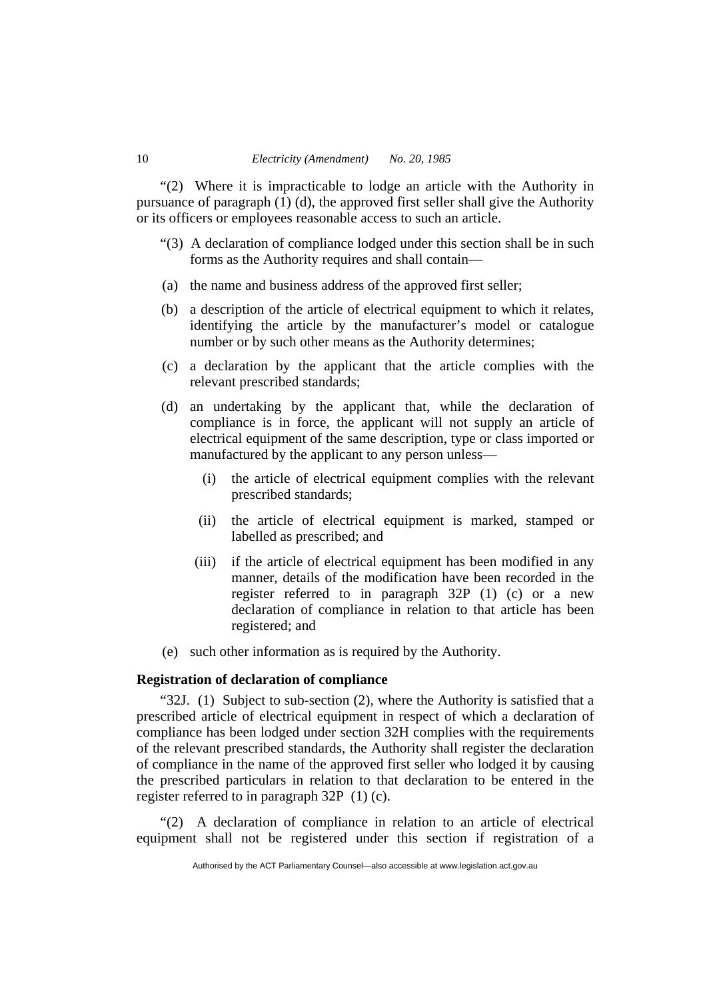"(2) Where it is impracticable to lodge an article with the Authority in pursuance of paragraph (1) (d), the approved first seller shall give the Authority or its officers or employees reasonable access to such an article.

- "(3) A declaration of compliance lodged under this section shall be in such forms as the Authority requires and shall contain—
- (a) the name and business address of the approved first seller;
- (b) a description of the article of electrical equipment to which it relates, identifying the article by the manufacturer's model or catalogue number or by such other means as the Authority determines;
- (c) a declaration by the applicant that the article complies with the relevant prescribed standards;
- (d) an undertaking by the applicant that, while the declaration of compliance is in force, the applicant will not supply an article of electrical equipment of the same description, type or class imported or manufactured by the applicant to any person unless—
	- (i) the article of electrical equipment complies with the relevant prescribed standards;
	- (ii) the article of electrical equipment is marked, stamped or labelled as prescribed; and
	- (iii) if the article of electrical equipment has been modified in any manner, details of the modification have been recorded in the register referred to in paragraph 32P (1) (c) or a new declaration of compliance in relation to that article has been registered; and
- (e) such other information as is required by the Authority.

## **Registration of declaration of compliance**

"32J. (1) Subject to sub-section (2), where the Authority is satisfied that a prescribed article of electrical equipment in respect of which a declaration of compliance has been lodged under section 32H complies with the requirements of the relevant prescribed standards, the Authority shall register the declaration of compliance in the name of the approved first seller who lodged it by causing the prescribed particulars in relation to that declaration to be entered in the register referred to in paragraph 32P (1) (c).

"(2) A declaration of compliance in relation to an article of electrical equipment shall not be registered under this section if registration of a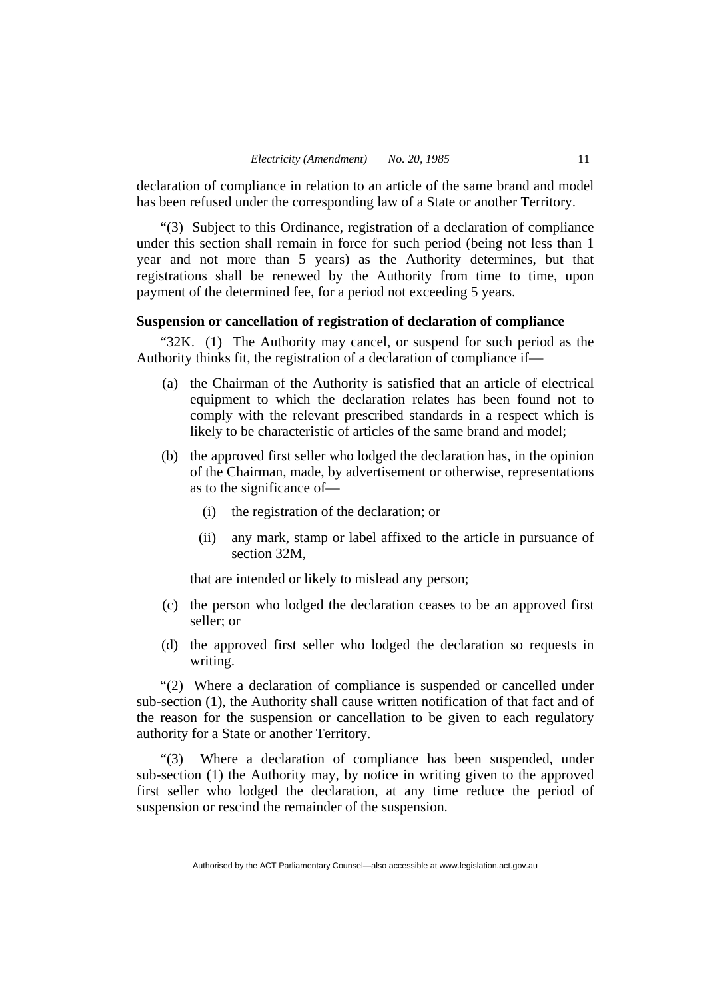declaration of compliance in relation to an article of the same brand and model has been refused under the corresponding law of a State or another Territory.

"(3) Subject to this Ordinance, registration of a declaration of compliance under this section shall remain in force for such period (being not less than 1 year and not more than 5 years) as the Authority determines, but that registrations shall be renewed by the Authority from time to time, upon payment of the determined fee, for a period not exceeding 5 years.

# **Suspension or cancellation of registration of declaration of compliance**

"32K. (1) The Authority may cancel, or suspend for such period as the Authority thinks fit, the registration of a declaration of compliance if—

- (a) the Chairman of the Authority is satisfied that an article of electrical equipment to which the declaration relates has been found not to comply with the relevant prescribed standards in a respect which is likely to be characteristic of articles of the same brand and model;
- (b) the approved first seller who lodged the declaration has, in the opinion of the Chairman, made, by advertisement or otherwise, representations as to the significance of—
	- (i) the registration of the declaration; or
	- (ii) any mark, stamp or label affixed to the article in pursuance of section 32M,

that are intended or likely to mislead any person;

- (c) the person who lodged the declaration ceases to be an approved first seller; or
- (d) the approved first seller who lodged the declaration so requests in writing.

"(2) Where a declaration of compliance is suspended or cancelled under sub-section (1), the Authority shall cause written notification of that fact and of the reason for the suspension or cancellation to be given to each regulatory authority for a State or another Territory.

"(3) Where a declaration of compliance has been suspended, under sub-section (1) the Authority may, by notice in writing given to the approved first seller who lodged the declaration, at any time reduce the period of suspension or rescind the remainder of the suspension.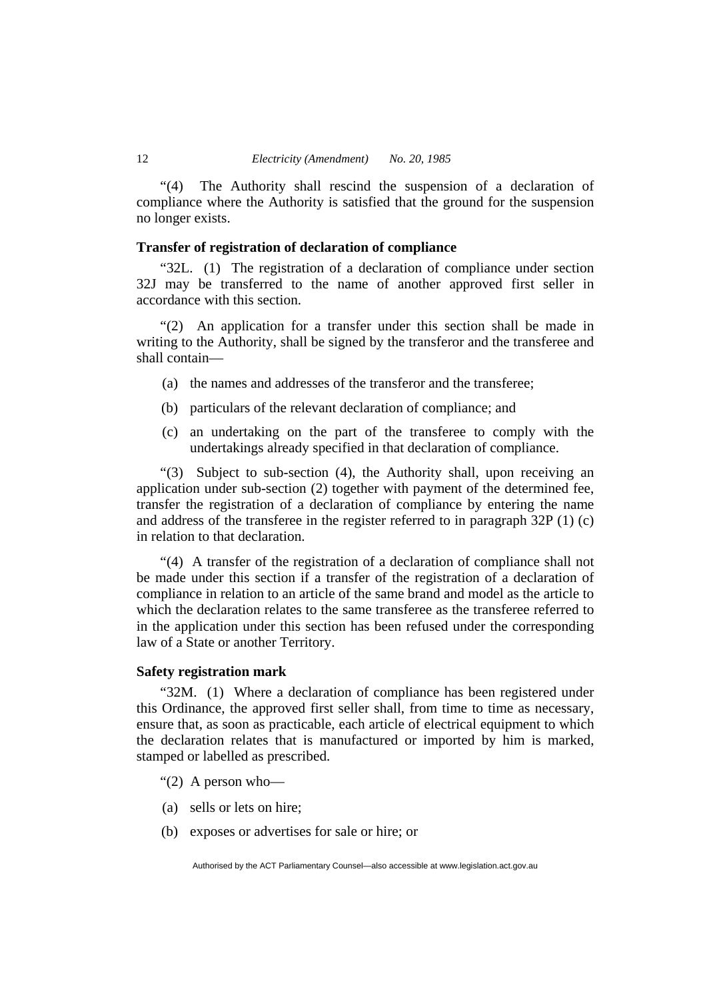"(4) The Authority shall rescind the suspension of a declaration of compliance where the Authority is satisfied that the ground for the suspension no longer exists.

# **Transfer of registration of declaration of compliance**

"32L. (1) The registration of a declaration of compliance under section 32J may be transferred to the name of another approved first seller in accordance with this section.

"(2) An application for a transfer under this section shall be made in writing to the Authority, shall be signed by the transferor and the transferee and shall contain—

- (a) the names and addresses of the transferor and the transferee;
- (b) particulars of the relevant declaration of compliance; and
- (c) an undertaking on the part of the transferee to comply with the undertakings already specified in that declaration of compliance.

"(3) Subject to sub-section (4), the Authority shall, upon receiving an application under sub-section (2) together with payment of the determined fee, transfer the registration of a declaration of compliance by entering the name and address of the transferee in the register referred to in paragraph 32P (1) (c) in relation to that declaration.

"(4) A transfer of the registration of a declaration of compliance shall not be made under this section if a transfer of the registration of a declaration of compliance in relation to an article of the same brand and model as the article to which the declaration relates to the same transferee as the transferee referred to in the application under this section has been refused under the corresponding law of a State or another Territory.

# **Safety registration mark**

"32M. (1) Where a declaration of compliance has been registered under this Ordinance, the approved first seller shall, from time to time as necessary, ensure that, as soon as practicable, each article of electrical equipment to which the declaration relates that is manufactured or imported by him is marked, stamped or labelled as prescribed.

- " $(2)$  A person who-
- (a) sells or lets on hire;
- (b) exposes or advertises for sale or hire; or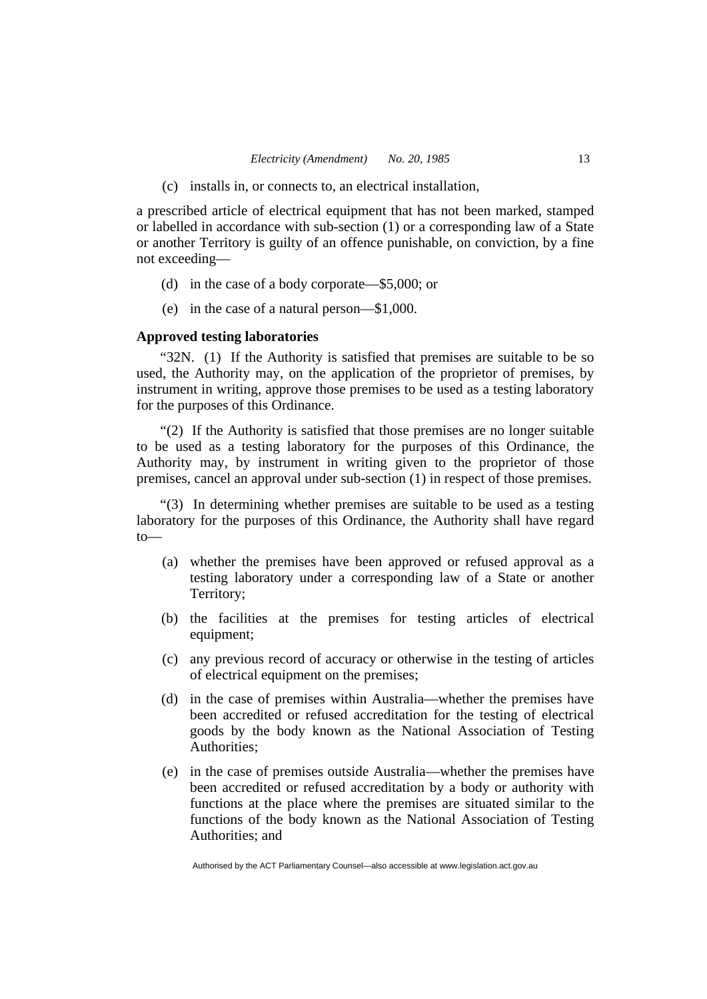(c) installs in, or connects to, an electrical installation,

a prescribed article of electrical equipment that has not been marked, stamped or labelled in accordance with sub-section (1) or a corresponding law of a State or another Territory is guilty of an offence punishable, on conviction, by a fine not exceeding—

- (d) in the case of a body corporate—\$5,000; or
- (e) in the case of a natural person—\$1,000.

# **Approved testing laboratories**

"32N. (1) If the Authority is satisfied that premises are suitable to be so used, the Authority may, on the application of the proprietor of premises, by instrument in writing, approve those premises to be used as a testing laboratory for the purposes of this Ordinance.

"(2) If the Authority is satisfied that those premises are no longer suitable to be used as a testing laboratory for the purposes of this Ordinance, the Authority may, by instrument in writing given to the proprietor of those premises, cancel an approval under sub-section (1) in respect of those premises.

"(3) In determining whether premises are suitable to be used as a testing laboratory for the purposes of this Ordinance, the Authority shall have regard to—

- (a) whether the premises have been approved or refused approval as a testing laboratory under a corresponding law of a State or another Territory;
- (b) the facilities at the premises for testing articles of electrical equipment;
- (c) any previous record of accuracy or otherwise in the testing of articles of electrical equipment on the premises;
- (d) in the case of premises within Australia—whether the premises have been accredited or refused accreditation for the testing of electrical goods by the body known as the National Association of Testing Authorities;
- (e) in the case of premises outside Australia—whether the premises have been accredited or refused accreditation by a body or authority with functions at the place where the premises are situated similar to the functions of the body known as the National Association of Testing Authorities; and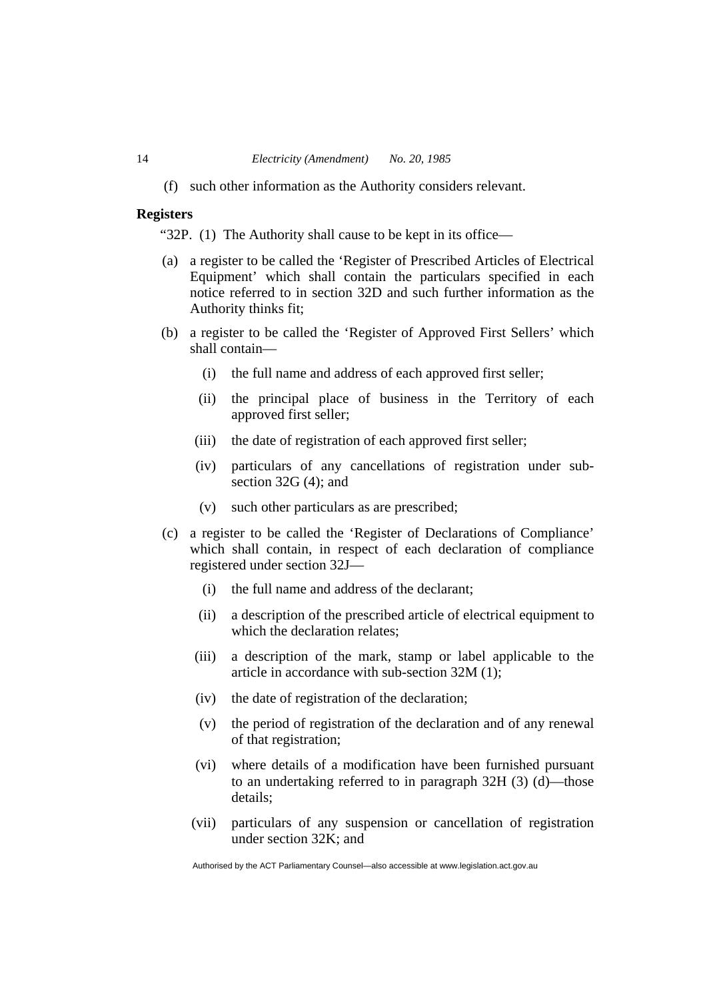(f) such other information as the Authority considers relevant.

# **Registers**

"32P. (1) The Authority shall cause to be kept in its office—

- (a) a register to be called the 'Register of Prescribed Articles of Electrical Equipment' which shall contain the particulars specified in each notice referred to in section 32D and such further information as the Authority thinks fit;
- (b) a register to be called the 'Register of Approved First Sellers' which shall contain—
	- (i) the full name and address of each approved first seller;
	- (ii) the principal place of business in the Territory of each approved first seller;
	- (iii) the date of registration of each approved first seller;
	- (iv) particulars of any cancellations of registration under subsection 32G (4); and
	- (v) such other particulars as are prescribed;
- (c) a register to be called the 'Register of Declarations of Compliance' which shall contain, in respect of each declaration of compliance registered under section 32J—
	- (i) the full name and address of the declarant;
	- (ii) a description of the prescribed article of electrical equipment to which the declaration relates;
	- (iii) a description of the mark, stamp or label applicable to the article in accordance with sub-section 32M (1);
	- (iv) the date of registration of the declaration;
	- (v) the period of registration of the declaration and of any renewal of that registration;
	- (vi) where details of a modification have been furnished pursuant to an undertaking referred to in paragraph 32H (3) (d)—those details;
	- (vii) particulars of any suspension or cancellation of registration under section 32K; and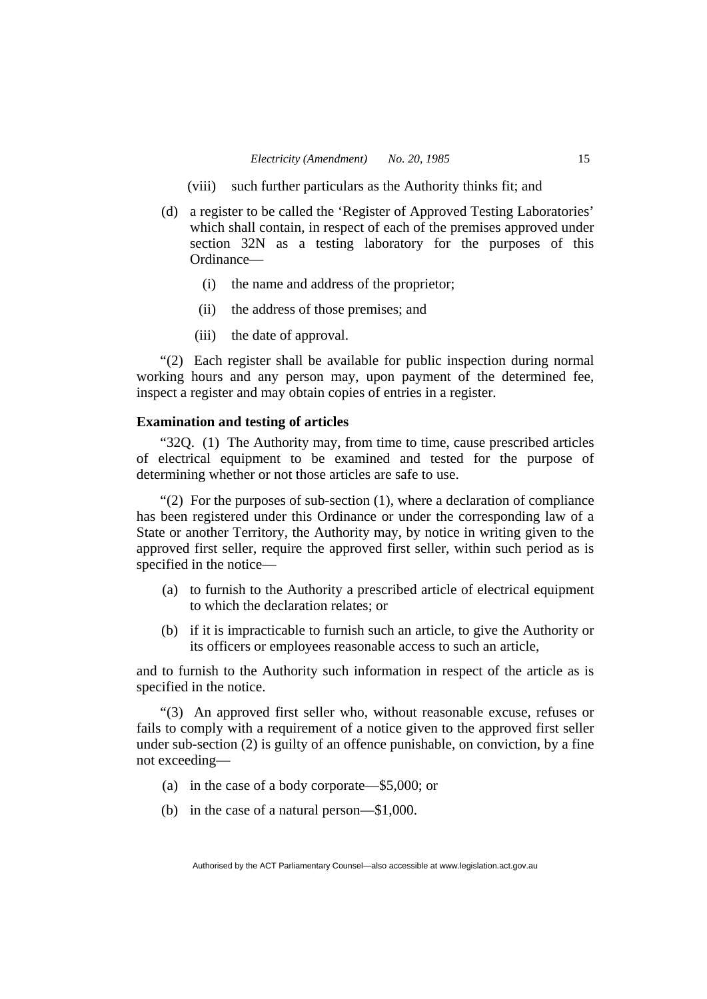- (viii) such further particulars as the Authority thinks fit; and
- (d) a register to be called the 'Register of Approved Testing Laboratories' which shall contain, in respect of each of the premises approved under section 32N as a testing laboratory for the purposes of this Ordinance—
	- (i) the name and address of the proprietor;
	- (ii) the address of those premises; and
	- (iii) the date of approval.

"(2) Each register shall be available for public inspection during normal working hours and any person may, upon payment of the determined fee, inspect a register and may obtain copies of entries in a register.

# **Examination and testing of articles**

"32Q. (1) The Authority may, from time to time, cause prescribed articles of electrical equipment to be examined and tested for the purpose of determining whether or not those articles are safe to use.

"(2) For the purposes of sub-section (1), where a declaration of compliance has been registered under this Ordinance or under the corresponding law of a State or another Territory, the Authority may, by notice in writing given to the approved first seller, require the approved first seller, within such period as is specified in the notice—

- (a) to furnish to the Authority a prescribed article of electrical equipment to which the declaration relates; or
- (b) if it is impracticable to furnish such an article, to give the Authority or its officers or employees reasonable access to such an article,

and to furnish to the Authority such information in respect of the article as is specified in the notice.

"(3) An approved first seller who, without reasonable excuse, refuses or fails to comply with a requirement of a notice given to the approved first seller under sub-section (2) is guilty of an offence punishable, on conviction, by a fine not exceeding—

- (a) in the case of a body corporate—\$5,000; or
- (b) in the case of a natural person—\$1,000.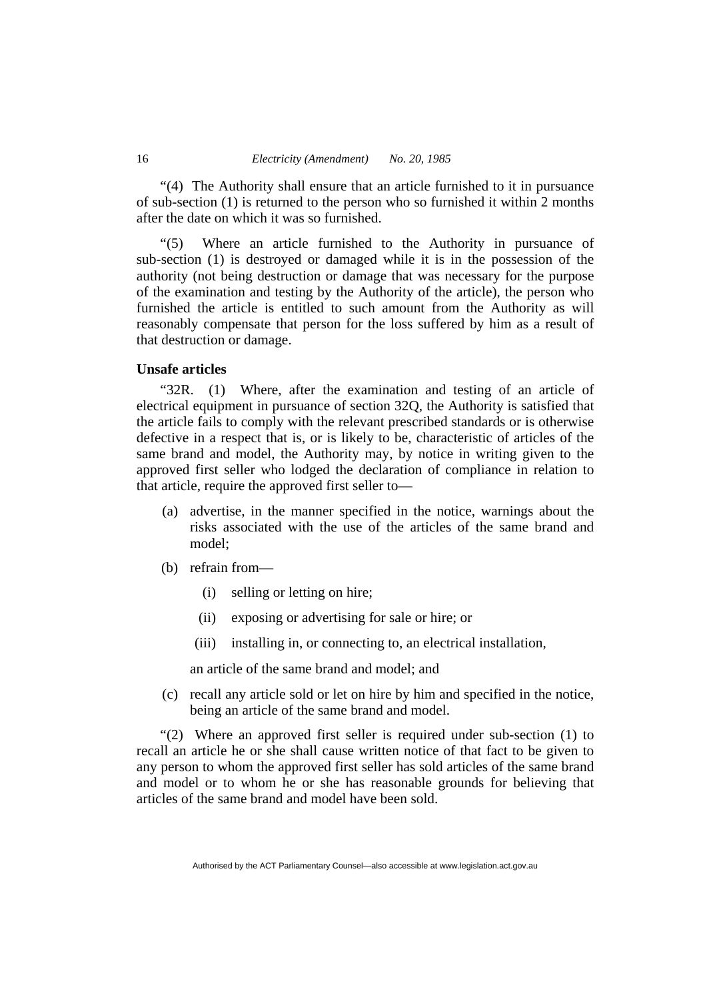"(4) The Authority shall ensure that an article furnished to it in pursuance of sub-section (1) is returned to the person who so furnished it within 2 months after the date on which it was so furnished.

"(5) Where an article furnished to the Authority in pursuance of sub-section (1) is destroyed or damaged while it is in the possession of the authority (not being destruction or damage that was necessary for the purpose of the examination and testing by the Authority of the article), the person who furnished the article is entitled to such amount from the Authority as will reasonably compensate that person for the loss suffered by him as a result of that destruction or damage.

## **Unsafe articles**

"32R. (1) Where, after the examination and testing of an article of electrical equipment in pursuance of section 32Q, the Authority is satisfied that the article fails to comply with the relevant prescribed standards or is otherwise defective in a respect that is, or is likely to be, characteristic of articles of the same brand and model, the Authority may, by notice in writing given to the approved first seller who lodged the declaration of compliance in relation to that article, require the approved first seller to—

- (a) advertise, in the manner specified in the notice, warnings about the risks associated with the use of the articles of the same brand and model;
- (b) refrain from—
	- (i) selling or letting on hire;
	- (ii) exposing or advertising for sale or hire; or
	- (iii) installing in, or connecting to, an electrical installation,

an article of the same brand and model; and

 (c) recall any article sold or let on hire by him and specified in the notice, being an article of the same brand and model.

"(2) Where an approved first seller is required under sub-section (1) to recall an article he or she shall cause written notice of that fact to be given to any person to whom the approved first seller has sold articles of the same brand and model or to whom he or she has reasonable grounds for believing that articles of the same brand and model have been sold.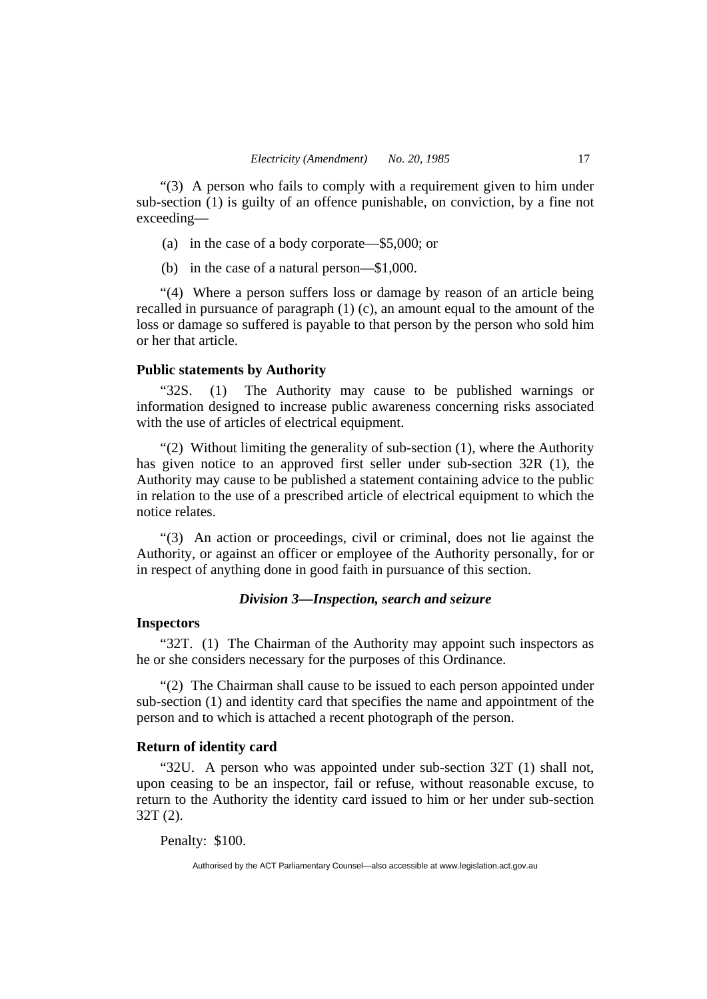"(3) A person who fails to comply with a requirement given to him under sub-section (1) is guilty of an offence punishable, on conviction, by a fine not exceeding—

- (a) in the case of a body corporate—\$5,000; or
- (b) in the case of a natural person—\$1,000.

"(4) Where a person suffers loss or damage by reason of an article being recalled in pursuance of paragraph (1) (c), an amount equal to the amount of the loss or damage so suffered is payable to that person by the person who sold him or her that article.

# **Public statements by Authority**

"32S. (1) The Authority may cause to be published warnings or information designed to increase public awareness concerning risks associated with the use of articles of electrical equipment.

"(2) Without limiting the generality of sub-section (1), where the Authority has given notice to an approved first seller under sub-section 32R (1), the Authority may cause to be published a statement containing advice to the public in relation to the use of a prescribed article of electrical equipment to which the notice relates.

"(3) An action or proceedings, civil or criminal, does not lie against the Authority, or against an officer or employee of the Authority personally, for or in respect of anything done in good faith in pursuance of this section.

# *Division 3—Inspection, search and seizure*

# **Inspectors**

"32T. (1) The Chairman of the Authority may appoint such inspectors as he or she considers necessary for the purposes of this Ordinance.

"(2) The Chairman shall cause to be issued to each person appointed under sub-section (1) and identity card that specifies the name and appointment of the person and to which is attached a recent photograph of the person.

# **Return of identity card**

"32U. A person who was appointed under sub-section 32T (1) shall not, upon ceasing to be an inspector, fail or refuse, without reasonable excuse, to return to the Authority the identity card issued to him or her under sub-section 32T (2).

Penalty: \$100.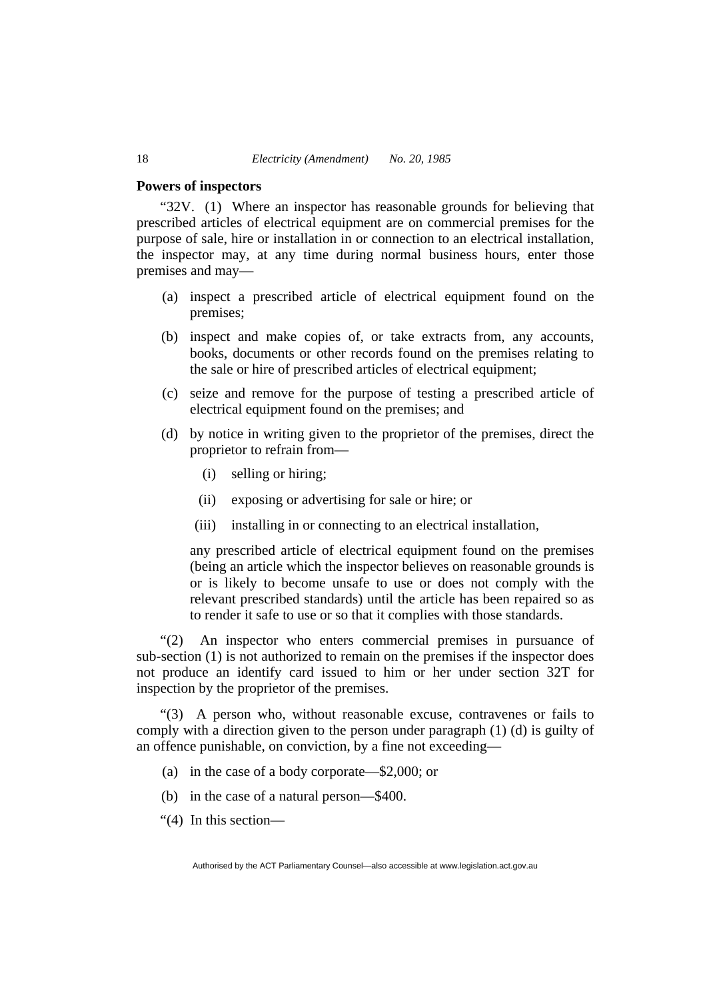## **Powers of inspectors**

"32V. (1) Where an inspector has reasonable grounds for believing that prescribed articles of electrical equipment are on commercial premises for the purpose of sale, hire or installation in or connection to an electrical installation, the inspector may, at any time during normal business hours, enter those premises and may—

- (a) inspect a prescribed article of electrical equipment found on the premises;
- (b) inspect and make copies of, or take extracts from, any accounts, books, documents or other records found on the premises relating to the sale or hire of prescribed articles of electrical equipment;
- (c) seize and remove for the purpose of testing a prescribed article of electrical equipment found on the premises; and
- (d) by notice in writing given to the proprietor of the premises, direct the proprietor to refrain from—
	- (i) selling or hiring;
	- (ii) exposing or advertising for sale or hire; or
	- (iii) installing in or connecting to an electrical installation,

any prescribed article of electrical equipment found on the premises (being an article which the inspector believes on reasonable grounds is or is likely to become unsafe to use or does not comply with the relevant prescribed standards) until the article has been repaired so as to render it safe to use or so that it complies with those standards.

"(2) An inspector who enters commercial premises in pursuance of sub-section (1) is not authorized to remain on the premises if the inspector does not produce an identify card issued to him or her under section 32T for inspection by the proprietor of the premises.

"(3) A person who, without reasonable excuse, contravenes or fails to comply with a direction given to the person under paragraph (1) (d) is guilty of an offence punishable, on conviction, by a fine not exceeding—

- (a) in the case of a body corporate—\$2,000; or
- (b) in the case of a natural person—\$400.
- "(4) In this section—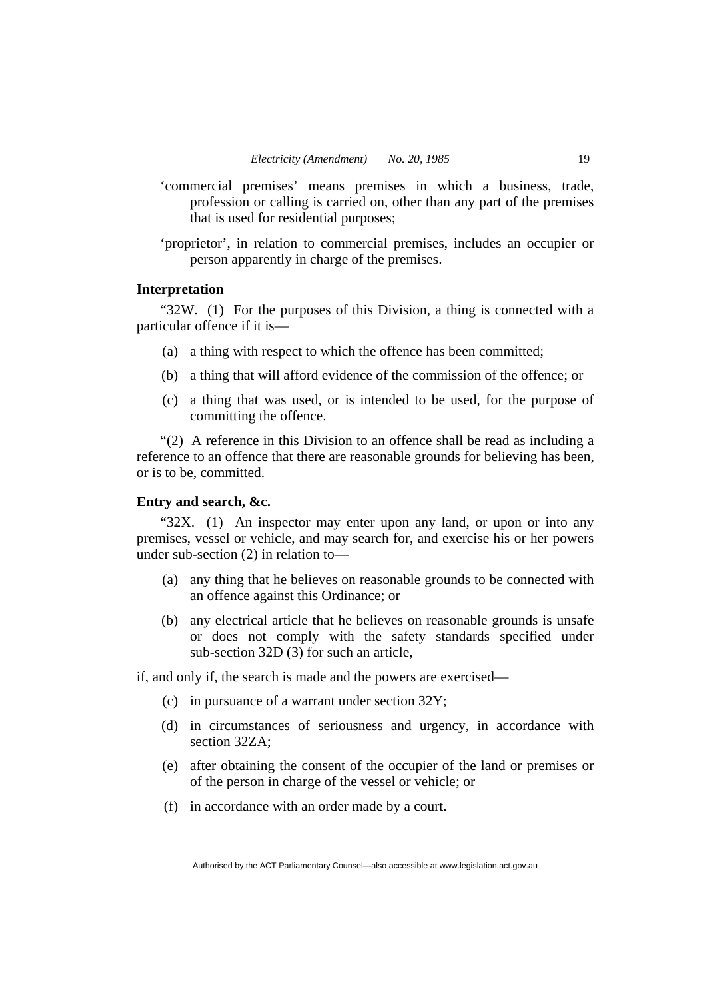- 'commercial premises' means premises in which a business, trade, profession or calling is carried on, other than any part of the premises that is used for residential purposes;
- 'proprietor', in relation to commercial premises, includes an occupier or person apparently in charge of the premises.

## **Interpretation**

"32W. (1) For the purposes of this Division, a thing is connected with a particular offence if it is—

- (a) a thing with respect to which the offence has been committed;
- (b) a thing that will afford evidence of the commission of the offence; or
- (c) a thing that was used, or is intended to be used, for the purpose of committing the offence.

"(2) A reference in this Division to an offence shall be read as including a reference to an offence that there are reasonable grounds for believing has been, or is to be, committed.

# **Entry and search, &c.**

"32X. (1) An inspector may enter upon any land, or upon or into any premises, vessel or vehicle, and may search for, and exercise his or her powers under sub-section (2) in relation to—

- (a) any thing that he believes on reasonable grounds to be connected with an offence against this Ordinance; or
- (b) any electrical article that he believes on reasonable grounds is unsafe or does not comply with the safety standards specified under sub-section 32D (3) for such an article,

if, and only if, the search is made and the powers are exercised—

- (c) in pursuance of a warrant under section 32Y;
- (d) in circumstances of seriousness and urgency, in accordance with section 32ZA;
- (e) after obtaining the consent of the occupier of the land or premises or of the person in charge of the vessel or vehicle; or
- (f) in accordance with an order made by a court.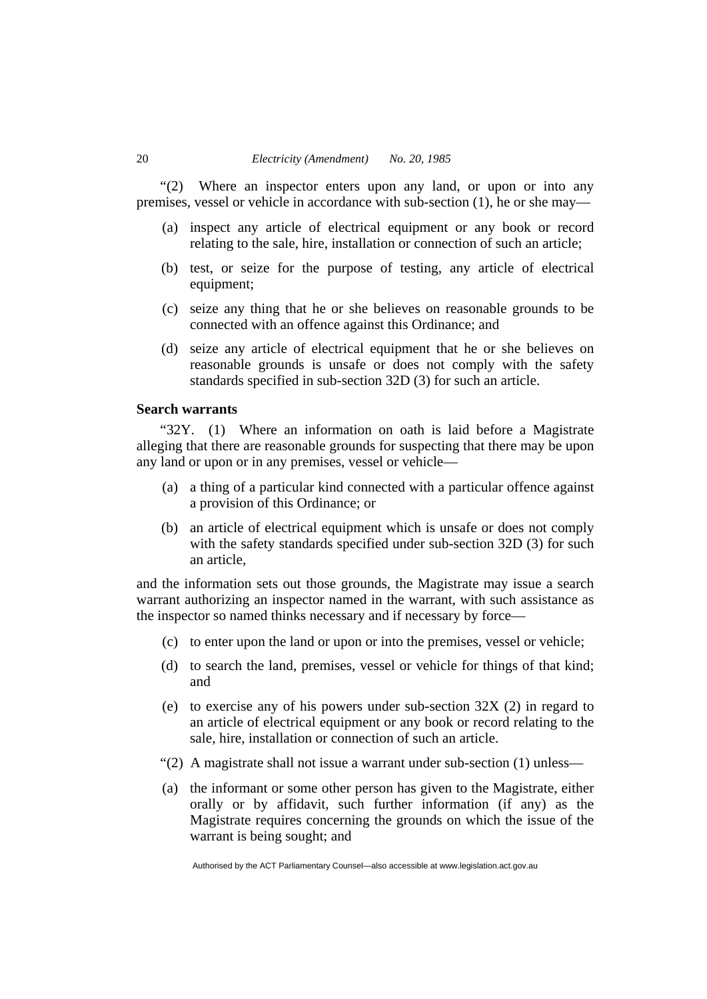"(2) Where an inspector enters upon any land, or upon or into any premises, vessel or vehicle in accordance with sub-section (1), he or she may—

- (a) inspect any article of electrical equipment or any book or record relating to the sale, hire, installation or connection of such an article;
- (b) test, or seize for the purpose of testing, any article of electrical equipment;
- (c) seize any thing that he or she believes on reasonable grounds to be connected with an offence against this Ordinance; and
- (d) seize any article of electrical equipment that he or she believes on reasonable grounds is unsafe or does not comply with the safety standards specified in sub-section 32D (3) for such an article.

## **Search warrants**

"32Y. (1) Where an information on oath is laid before a Magistrate alleging that there are reasonable grounds for suspecting that there may be upon any land or upon or in any premises, vessel or vehicle—

- (a) a thing of a particular kind connected with a particular offence against a provision of this Ordinance; or
- (b) an article of electrical equipment which is unsafe or does not comply with the safety standards specified under sub-section 32D (3) for such an article,

and the information sets out those grounds, the Magistrate may issue a search warrant authorizing an inspector named in the warrant, with such assistance as the inspector so named thinks necessary and if necessary by force—

- (c) to enter upon the land or upon or into the premises, vessel or vehicle;
- (d) to search the land, premises, vessel or vehicle for things of that kind; and
- (e) to exercise any of his powers under sub-section 32X (2) in regard to an article of electrical equipment or any book or record relating to the sale, hire, installation or connection of such an article.
- "(2) A magistrate shall not issue a warrant under sub-section (1) unless—
- (a) the informant or some other person has given to the Magistrate, either orally or by affidavit, such further information (if any) as the Magistrate requires concerning the grounds on which the issue of the warrant is being sought; and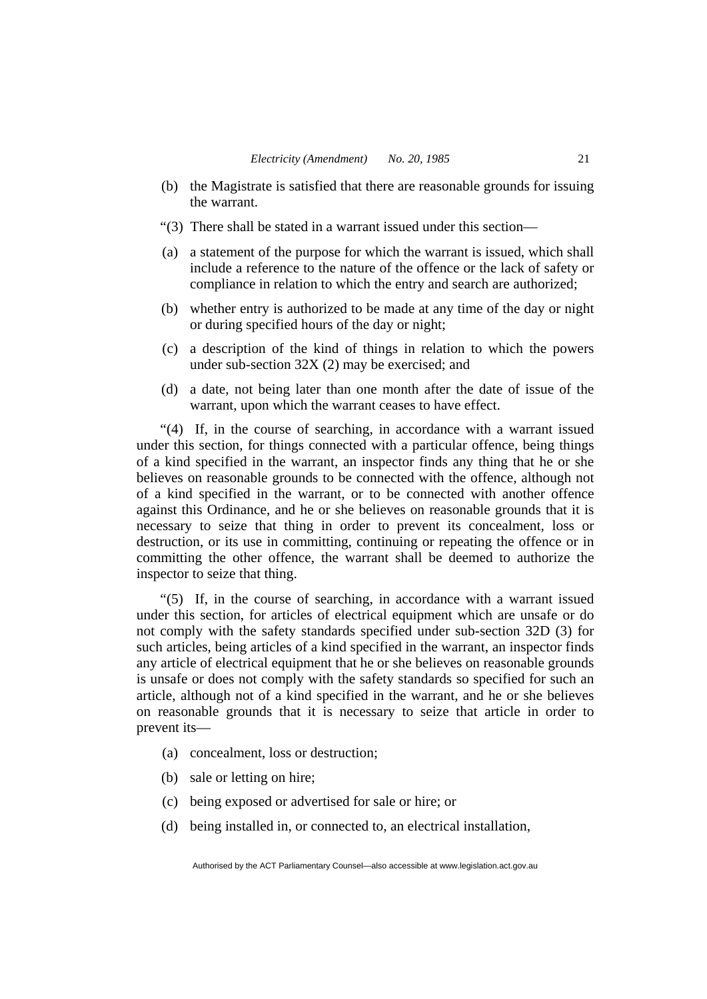- (b) the Magistrate is satisfied that there are reasonable grounds for issuing the warrant.
- "(3) There shall be stated in a warrant issued under this section—
- (a) a statement of the purpose for which the warrant is issued, which shall include a reference to the nature of the offence or the lack of safety or compliance in relation to which the entry and search are authorized;
- (b) whether entry is authorized to be made at any time of the day or night or during specified hours of the day or night;
- (c) a description of the kind of things in relation to which the powers under sub-section 32X (2) may be exercised; and
- (d) a date, not being later than one month after the date of issue of the warrant, upon which the warrant ceases to have effect.

"(4) If, in the course of searching, in accordance with a warrant issued under this section, for things connected with a particular offence, being things of a kind specified in the warrant, an inspector finds any thing that he or she believes on reasonable grounds to be connected with the offence, although not of a kind specified in the warrant, or to be connected with another offence against this Ordinance, and he or she believes on reasonable grounds that it is necessary to seize that thing in order to prevent its concealment, loss or destruction, or its use in committing, continuing or repeating the offence or in committing the other offence, the warrant shall be deemed to authorize the inspector to seize that thing.

"(5) If, in the course of searching, in accordance with a warrant issued under this section, for articles of electrical equipment which are unsafe or do not comply with the safety standards specified under sub-section 32D (3) for such articles, being articles of a kind specified in the warrant, an inspector finds any article of electrical equipment that he or she believes on reasonable grounds is unsafe or does not comply with the safety standards so specified for such an article, although not of a kind specified in the warrant, and he or she believes on reasonable grounds that it is necessary to seize that article in order to prevent its—

- (a) concealment, loss or destruction;
- (b) sale or letting on hire;
- (c) being exposed or advertised for sale or hire; or
- (d) being installed in, or connected to, an electrical installation,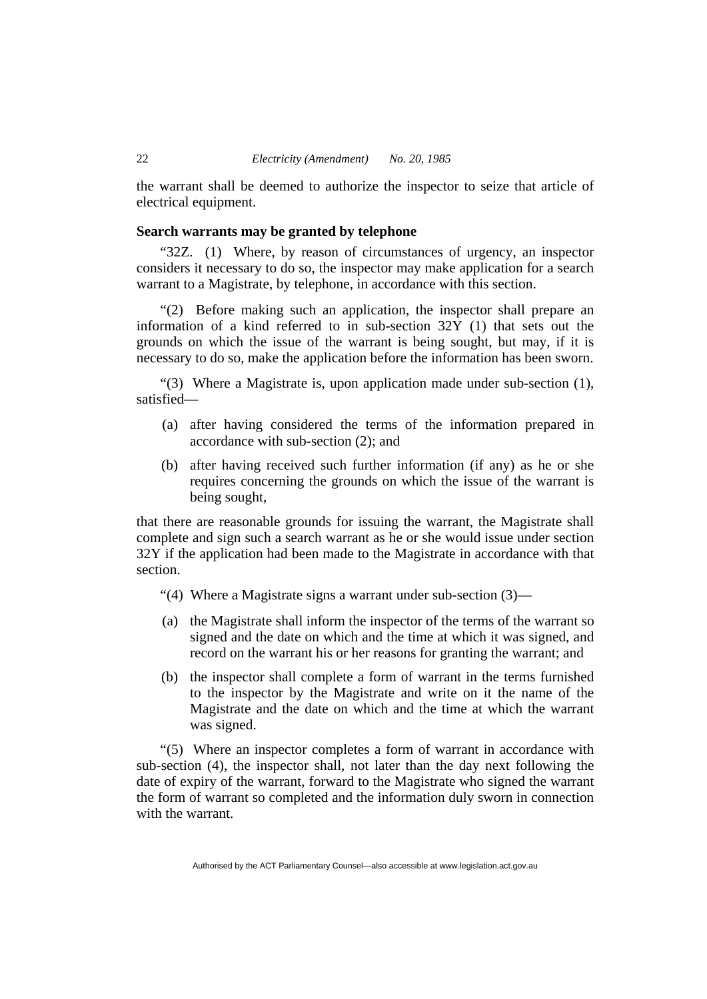the warrant shall be deemed to authorize the inspector to seize that article of electrical equipment.

## **Search warrants may be granted by telephone**

"32Z. (1) Where, by reason of circumstances of urgency, an inspector considers it necessary to do so, the inspector may make application for a search warrant to a Magistrate, by telephone, in accordance with this section.

"(2) Before making such an application, the inspector shall prepare an information of a kind referred to in sub-section  $32\overline{Y}$  (1) that sets out the grounds on which the issue of the warrant is being sought, but may, if it is necessary to do so, make the application before the information has been sworn.

"(3) Where a Magistrate is, upon application made under sub-section (1), satisfied—

- (a) after having considered the terms of the information prepared in accordance with sub-section (2); and
- (b) after having received such further information (if any) as he or she requires concerning the grounds on which the issue of the warrant is being sought,

that there are reasonable grounds for issuing the warrant, the Magistrate shall complete and sign such a search warrant as he or she would issue under section 32Y if the application had been made to the Magistrate in accordance with that section.

- "(4) Where a Magistrate signs a warrant under sub-section (3)—
- (a) the Magistrate shall inform the inspector of the terms of the warrant so signed and the date on which and the time at which it was signed, and record on the warrant his or her reasons for granting the warrant; and
- (b) the inspector shall complete a form of warrant in the terms furnished to the inspector by the Magistrate and write on it the name of the Magistrate and the date on which and the time at which the warrant was signed.

"(5) Where an inspector completes a form of warrant in accordance with sub-section (4), the inspector shall, not later than the day next following the date of expiry of the warrant, forward to the Magistrate who signed the warrant the form of warrant so completed and the information duly sworn in connection with the warrant.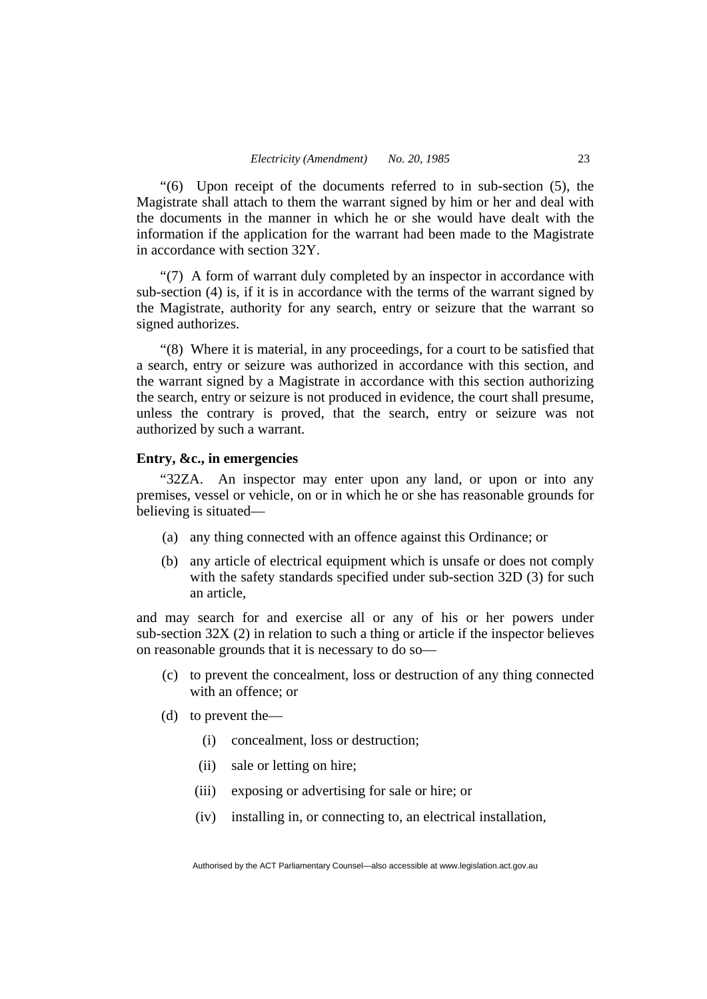"(6) Upon receipt of the documents referred to in sub-section (5), the Magistrate shall attach to them the warrant signed by him or her and deal with the documents in the manner in which he or she would have dealt with the information if the application for the warrant had been made to the Magistrate in accordance with section 32Y.

"(7) A form of warrant duly completed by an inspector in accordance with sub-section (4) is, if it is in accordance with the terms of the warrant signed by the Magistrate, authority for any search, entry or seizure that the warrant so signed authorizes.

"(8) Where it is material, in any proceedings, for a court to be satisfied that a search, entry or seizure was authorized in accordance with this section, and the warrant signed by a Magistrate in accordance with this section authorizing the search, entry or seizure is not produced in evidence, the court shall presume, unless the contrary is proved, that the search, entry or seizure was not authorized by such a warrant.

#### **Entry, &c., in emergencies**

"32ZA. An inspector may enter upon any land, or upon or into any premises, vessel or vehicle, on or in which he or she has reasonable grounds for believing is situated—

- (a) any thing connected with an offence against this Ordinance; or
- (b) any article of electrical equipment which is unsafe or does not comply with the safety standards specified under sub-section 32D (3) for such an article,

and may search for and exercise all or any of his or her powers under sub-section 32X (2) in relation to such a thing or article if the inspector believes on reasonable grounds that it is necessary to do so—

- (c) to prevent the concealment, loss or destruction of any thing connected with an offence; or
- (d) to prevent the—
	- (i) concealment, loss or destruction;
	- (ii) sale or letting on hire;
	- (iii) exposing or advertising for sale or hire; or
	- (iv) installing in, or connecting to, an electrical installation,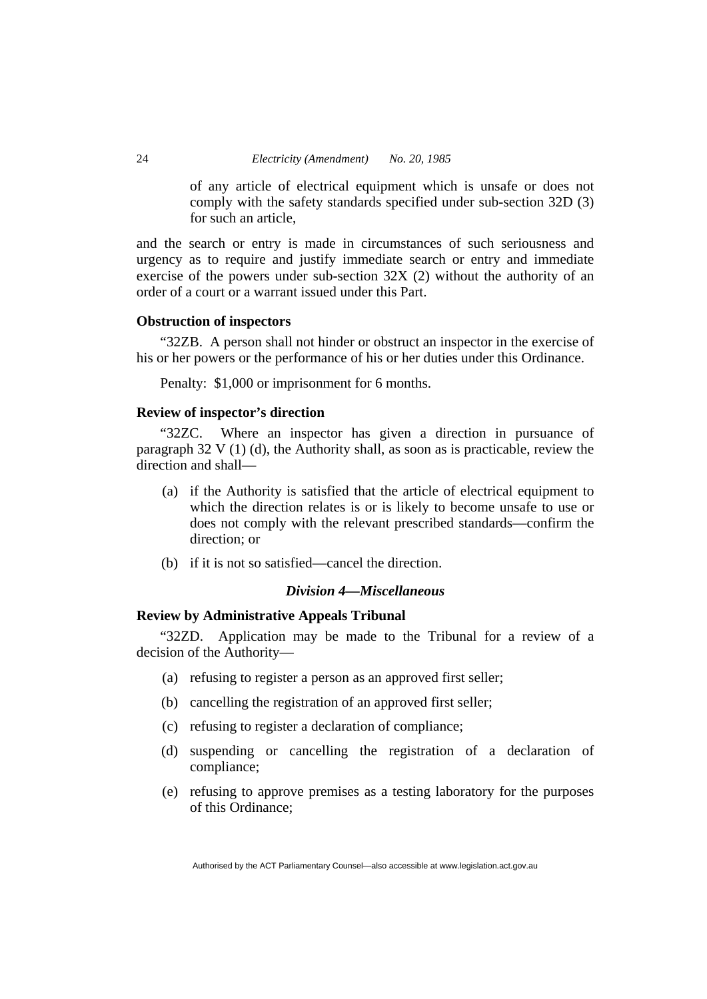of any article of electrical equipment which is unsafe or does not comply with the safety standards specified under sub-section 32D (3) for such an article,

and the search or entry is made in circumstances of such seriousness and urgency as to require and justify immediate search or entry and immediate exercise of the powers under sub-section 32X (2) without the authority of an order of a court or a warrant issued under this Part.

## **Obstruction of inspectors**

"32ZB. A person shall not hinder or obstruct an inspector in the exercise of his or her powers or the performance of his or her duties under this Ordinance.

Penalty: \$1,000 or imprisonment for 6 months.

# **Review of inspector's direction**

"32ZC. Where an inspector has given a direction in pursuance of paragraph 32 V (1) (d), the Authority shall, as soon as is practicable, review the direction and shall—

- (a) if the Authority is satisfied that the article of electrical equipment to which the direction relates is or is likely to become unsafe to use or does not comply with the relevant prescribed standards—confirm the direction; or
- (b) if it is not so satisfied—cancel the direction.

# *Division 4—Miscellaneous*

# **Review by Administrative Appeals Tribunal**

"32ZD. Application may be made to the Tribunal for a review of a decision of the Authority—

- (a) refusing to register a person as an approved first seller;
- (b) cancelling the registration of an approved first seller;
- (c) refusing to register a declaration of compliance;
- (d) suspending or cancelling the registration of a declaration of compliance;
- (e) refusing to approve premises as a testing laboratory for the purposes of this Ordinance;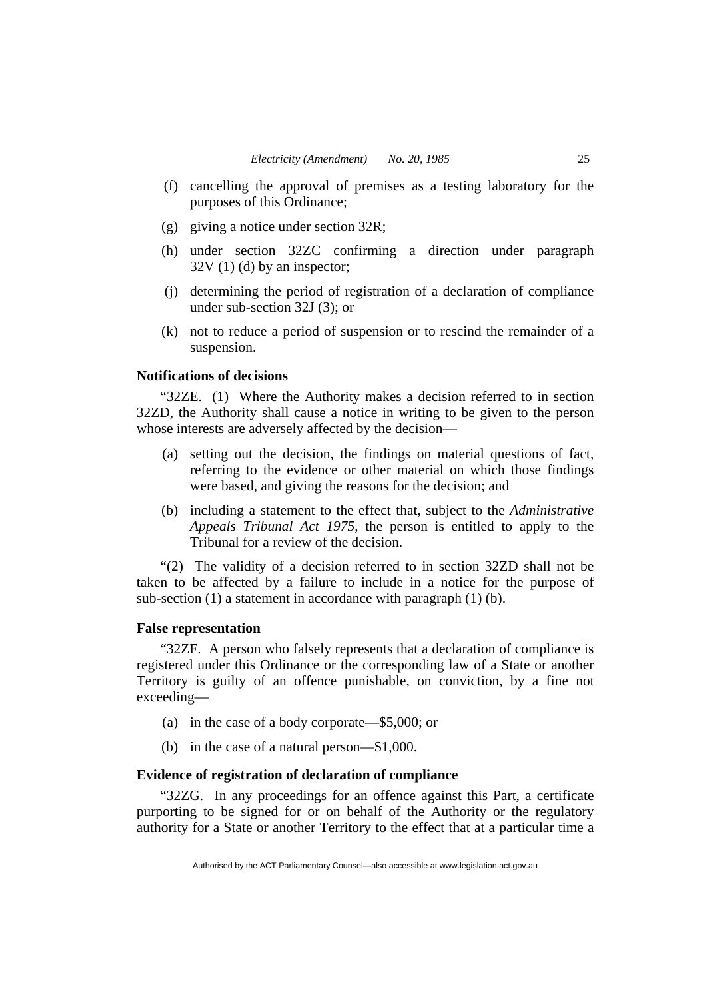- (f) cancelling the approval of premises as a testing laboratory for the purposes of this Ordinance;
- (g) giving a notice under section 32R;
- (h) under section 32ZC confirming a direction under paragraph  $32V(1)(d)$  by an inspector;
- (j) determining the period of registration of a declaration of compliance under sub-section 32J (3); or
- (k) not to reduce a period of suspension or to rescind the remainder of a suspension.

## **Notifications of decisions**

"32ZE. (1) Where the Authority makes a decision referred to in section 32ZD, the Authority shall cause a notice in writing to be given to the person whose interests are adversely affected by the decision—

- (a) setting out the decision, the findings on material questions of fact, referring to the evidence or other material on which those findings were based, and giving the reasons for the decision; and
- (b) including a statement to the effect that, subject to the *Administrative Appeals Tribunal Act 1975*, the person is entitled to apply to the Tribunal for a review of the decision.

"(2) The validity of a decision referred to in section 32ZD shall not be taken to be affected by a failure to include in a notice for the purpose of sub-section (1) a statement in accordance with paragraph (1) (b).

### **False representation**

"32ZF. A person who falsely represents that a declaration of compliance is registered under this Ordinance or the corresponding law of a State or another Territory is guilty of an offence punishable, on conviction, by a fine not exceeding—

- (a) in the case of a body corporate—\$5,000; or
- (b) in the case of a natural person—\$1,000.

# **Evidence of registration of declaration of compliance**

"32ZG. In any proceedings for an offence against this Part, a certificate purporting to be signed for or on behalf of the Authority or the regulatory authority for a State or another Territory to the effect that at a particular time a